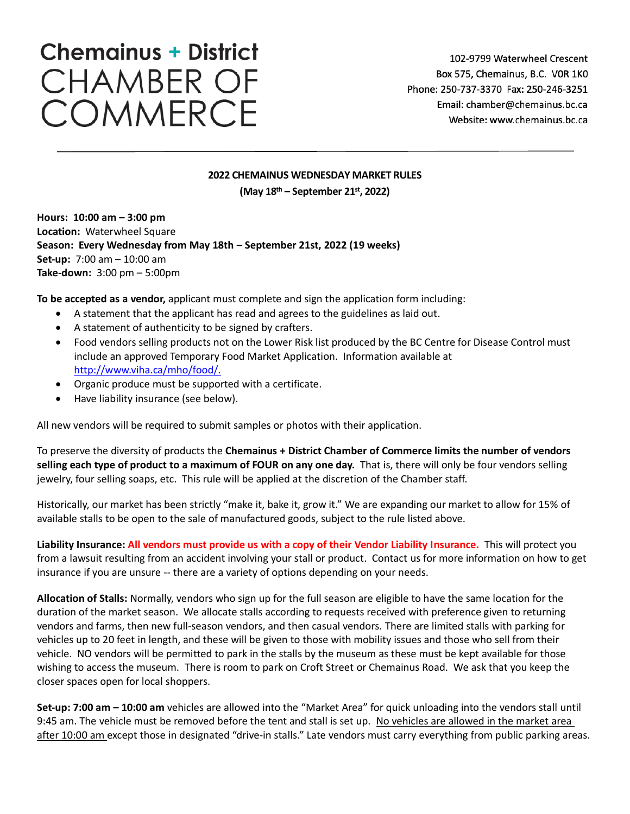# **Chemainus + District CHAMBER OF** COMMERCE

## **2022 CHEMAINUS WEDNESDAY MARKET RULES**

**(May 18th – September 21st , 2022)**

**Hours: 10:00 am – 3:00 pm Location:** Waterwheel Square **Season: Every Wednesday from May 18th – September 21st, 2022 (19 weeks) Set-up:** 7:00 am – 10:00 am **Take-down:** 3:00 pm – 5:00pm

**To be accepted as a vendor,** applicant must complete and sign the application form including:

- A statement that the applicant has read and agrees to the guidelines as laid out.
- A statement of authenticity to be signed by crafters.
- Food vendors selling products not on the Lower Risk list produced by the BC Centre for Disease Control must include an approved Temporary Food Market Application. Information available at [http://www.viha.ca/mho/food/.](http://www.viha.ca/mho/food/)
- Organic produce must be supported with a certificate.
- Have liability insurance (see below).

All new vendors will be required to submit samples or photos with their application.

To preserve the diversity of products the **Chemainus + District Chamber of Commerce limits the number of vendors selling each type of product to a maximum of FOUR on any one day.** That is, there will only be four vendors selling jewelry, four selling soaps, etc. This rule will be applied at the discretion of the Chamber staff.

Historically, our market has been strictly "make it, bake it, grow it." We are expanding our market to allow for 15% of available stalls to be open to the sale of manufactured goods, subject to the rule listed above.

**Liability Insurance: All vendors must provide us with a copy of their Vendor Liability Insurance.** This will protect you from a lawsuit resulting from an accident involving your stall or product. Contact us for more information on how to get insurance if you are unsure -- there are a variety of options depending on your needs.

**Allocation of Stalls:** Normally, vendors who sign up for the full season are eligible to have the same location for the duration of the market season. We allocate stalls according to requests received with preference given to returning vendors and farms, then new full-season vendors, and then casual vendors. There are limited stalls with parking for vehicles up to 20 feet in length, and these will be given to those with mobility issues and those who sell from their vehicle. NO vendors will be permitted to park in the stalls by the museum as these must be kept available for those wishing to access the museum. There is room to park on Croft Street or Chemainus Road. We ask that you keep the closer spaces open for local shoppers.

**Set-up: 7:00 am – 10:00 am** vehicles are allowed into the "Market Area" for quick unloading into the vendors stall until 9:45 am. The vehicle must be removed before the tent and stall is set up. No vehicles are allowed in the market area after 10:00 am except those in designated "drive-in stalls." Late vendors must carry everything from public parking areas.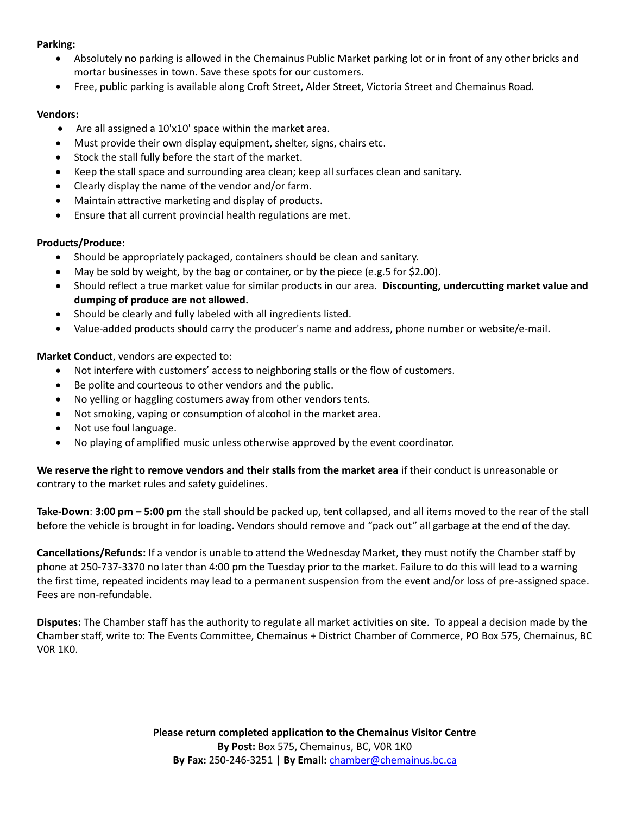#### **Parking:**

- Absolutely no parking is allowed in the Chemainus Public Market parking lot or in front of any other bricks and mortar businesses in town. Save these spots for our customers.
- Free, public parking is available along Croft Street, Alder Street, Victoria Street and Chemainus Road.

#### **Vendors:**

- Are all assigned a 10'x10' space within the market area.
- Must provide their own display equipment, shelter, signs, chairs etc.
- Stock the stall fully before the start of the market.
- Keep the stall space and surrounding area clean; keep all surfaces clean and sanitary.
- Clearly display the name of the vendor and/or farm.
- Maintain attractive marketing and display of products.
- Ensure that all current provincial health regulations are met.

#### **Products/Produce:**

- Should be appropriately packaged, containers should be clean and sanitary.
- May be sold by weight, by the bag or container, or by the piece (e.g.5 for \$2.00).
- Should reflect a true market value for similar products in our area. **Discounting, undercutting market value and dumping of produce are not allowed.**
- Should be clearly and fully labeled with all ingredients listed.
- Value-added products should carry the producer's name and address, phone number or website/e-mail.

## **Market Conduct**, vendors are expected to:

- Not interfere with customers' access to neighboring stalls or the flow of customers.
- Be polite and courteous to other vendors and the public.
- No yelling or haggling costumers away from other vendors tents.
- Not smoking, vaping or consumption of alcohol in the market area.
- Not use foul language.
- No playing of amplified music unless otherwise approved by the event coordinator.

**We reserve the right to remove vendors and their stalls from the market area** if their conduct is unreasonable or contrary to the market rules and safety guidelines.

**Take-Down**: **3:00 pm – 5:00 pm** the stall should be packed up, tent collapsed, and all items moved to the rear of the stall before the vehicle is brought in for loading. Vendors should remove and "pack out" all garbage at the end of the day.

**Cancellations/Refunds:** If a vendor is unable to attend the Wednesday Market, they must notify the Chamber staff by phone at 250-737-3370 no later than 4:00 pm the Tuesday prior to the market. Failure to do this will lead to a warning the first time, repeated incidents may lead to a permanent suspension from the event and/or loss of pre-assigned space. Fees are non-refundable.

**Disputes:** The Chamber staff has the authority to regulate all market activities on site. To appeal a decision made by the Chamber staff, write to: The Events Committee, Chemainus + District Chamber of Commerce, PO Box 575, Chemainus, BC V0R 1K0.

> **Please return completed application to the Chemainus Visitor Centre By Post:** Box 575, Chemainus, BC, V0R 1K0 **By Fax:** 250-246-3251 **| By Email:** [chamber@chemainus.bc.ca](mailto:chamber@chemainus.bc.ca)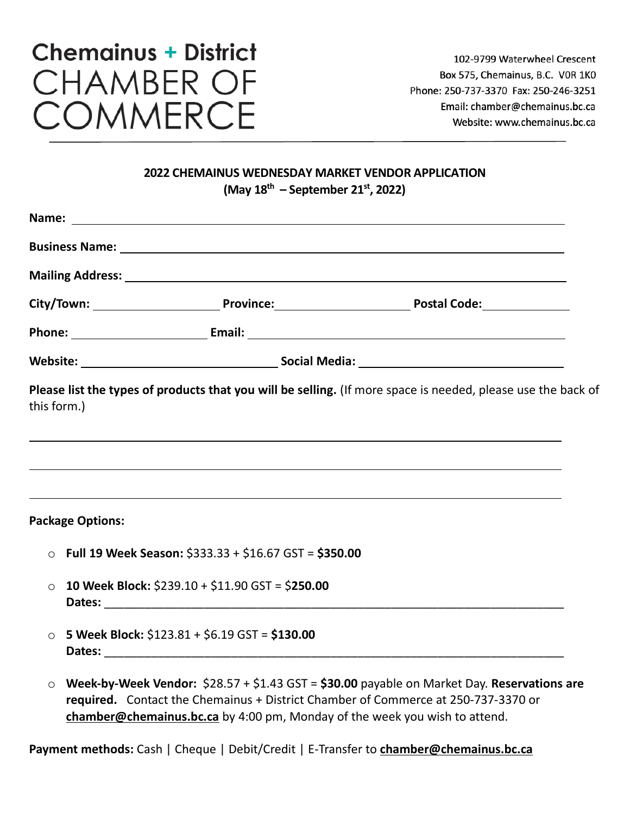# **Chemainus + District CHAMBER OF COMMERCE**

## **2022 CHEMAINUS WEDNESDAY MARKET VENDOR APPLICATION (May 18th – September 21st, 2022)**

|             |                                                |                                                                            | Mailing Address: National Address: National Address: National Address: National Address: National Address: National Address: National Address: National Address: National Address: National Address: National Address: Nationa |
|-------------|------------------------------------------------|----------------------------------------------------------------------------|--------------------------------------------------------------------------------------------------------------------------------------------------------------------------------------------------------------------------------|
|             |                                                |                                                                            |                                                                                                                                                                                                                                |
|             |                                                |                                                                            |                                                                                                                                                                                                                                |
|             |                                                |                                                                            |                                                                                                                                                                                                                                |
| this form.) |                                                |                                                                            | Please list the types of products that you will be selling. (If more space is needed, please use the back of<br>,我们也不会有什么。""我们的人,我们也不会有什么?""我们的人,我们也不会有什么?""我们的人,我们也不会有什么?""我们的人,我们也不会有什么?""我们的人                               |
|             | <b>Package Options:</b>                        |                                                                            |                                                                                                                                                                                                                                |
|             |                                                | $\circ$ Full 19 Week Season: \$333.33 + \$16.67 GST = \$350.00             |                                                                                                                                                                                                                                |
| $\circ$     |                                                | 10 Week Block: $$239.10 + $11.90$ GST = \$250.00                           |                                                                                                                                                                                                                                |
| $\circ$     | 5 Week Block: \$123.81 + \$6.19 GST = \$130.00 |                                                                            |                                                                                                                                                                                                                                |
| $\circ$     |                                                | chamber@chemainus.bc.ca by 4:00 pm, Monday of the week you wish to attend. | Week-by-Week Vendor: $$28.57 + $1.43$ GST = \$30.00 payable on Market Day. Reservations are<br>required. Contact the Chemainus + District Chamber of Commerce at 250-737-3370 or                                               |

**Payment methods:** Cash | Cheque | Debit/Credit | E-Transfer to **chamber@chemainus.bc.ca**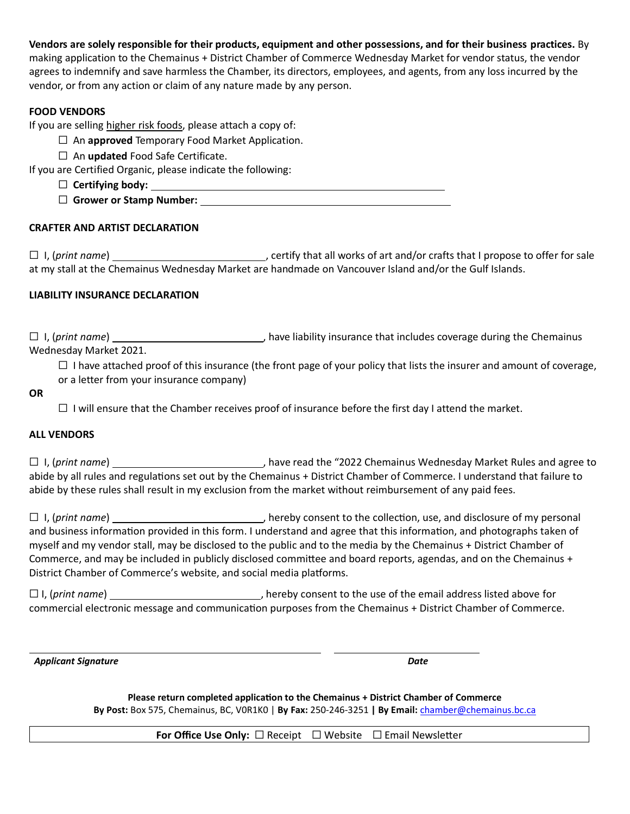**Vendors are solely responsible for their products, equipment and other possessions, and for their business practices.** By making application to the Chemainus + District Chamber of Commerce Wednesday Market for vendor status, the vendor agrees to indemnify and save harmless the Chamber, its directors, employees, and agents, from any loss incurred by the vendor, or from any action or claim of any nature made by any person.

## **FOOD VENDORS**

If you are selling higher risk foods, please attach a copy of:

- ☐ An **approved** Temporary Food Market Application.
- ☐ An **updated** Food Safe Certificate.

If you are Certified Organic, please indicate the following:

- ☐ **Certifying body:**  ☐ **Grower or Stamp Number:**
- 

## **CRAFTER AND ARTIST DECLARATION**

☐ I, (*print name*) , certify that all works of art and/or crafts that I propose to offer for sale at my stall at the Chemainus Wednesday Market are handmade on Vancouver Island and/or the Gulf Islands.

## **LIABILITY INSURANCE DECLARATION**

☐ I, (*print name*) , have liability insurance that includes coverage during the Chemainus Wednesday Market 2021.

 $\Box$  I have attached proof of this insurance (the front page of your policy that lists the insurer and amount of coverage, or a letter from your insurance company)

#### **OR**

 $\Box$  I will ensure that the Chamber receives proof of insurance before the first day I attend the market.

#### **ALL VENDORS**

□ I, (print name) **intercollect and agree to** have read the "2022 Chemainus Wednesday Market Rules and agree to abide by all rules and regulations set out by the Chemainus + District Chamber of Commerce. I understand that failure to abide by these rules shall result in my exclusion from the market without reimbursement of any paid fees.

☐ I, (*print name*) , hereby consent to the collection, use, and disclosure of my personal and business information provided in this form. I understand and agree that this information, and photographs taken of myself and my vendor stall, may be disclosed to the public and to the media by the Chemainus + District Chamber of Commerce, and may be included in publicly disclosed committee and board reports, agendas, and on the Chemainus + District Chamber of Commerce's website, and social media platforms.

□ I, (print name) \_\_\_\_\_\_\_\_\_\_\_\_\_\_\_\_\_\_\_\_\_\_\_\_\_\_\_\_\_\_\_\_, hereby consent to the use of the email address listed above for commercial electronic message and communication purposes from the Chemainus + District Chamber of Commerce.

 *Applicant Signature**Date*

**Please return completed application to the Chemainus + District Chamber of Commerce By Post:** Box 575, Chemainus, BC, V0R1K0 | **By Fax:** 250-246-3251 **| By Email:** chamber@chemainus.bc.ca

**For Office Use Only:** □ Receipt □ Website □ Email Newsletter